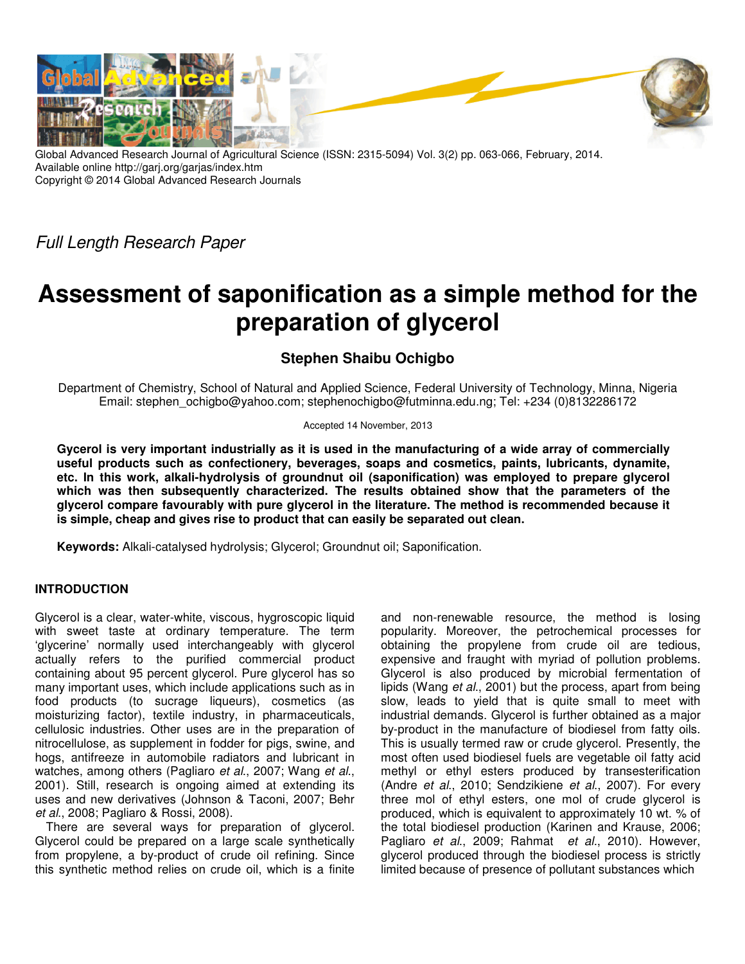

Global Advanced Research Journal of Agricultural Science (ISSN: 2315-5094) Vol. 3(2) pp. 063-066, February, 2014. Available online http://garj.org/garjas/index.htm Copyright © 2014 Global Advanced Research Journals

*Full Length Research Paper*

# **Assessment of saponification as a simple method for the preparation of glycerol**

## **Stephen Shaibu Ochigbo**

Department of Chemistry, School of Natural and Applied Science, Federal University of Technology, Minna, Nigeria Email: stephen\_ochigbo@yahoo.com; stephenochigbo@futminna.edu.ng; Tel: +234 (0)8132286172

#### Accepted 14 November, 2013

**Gycerol is very important industrially as it is used in the manufacturing of a wide array of commercially useful products such as confectionery, beverages, soaps and cosmetics, paints, lubricants, dynamite, etc. In this work, alkali-hydrolysis of groundnut oil (saponification) was employed to prepare glycerol which was then subsequently characterized. The results obtained show that the parameters of the glycerol compare favourably with pure glycerol in the literature. The method is recommended because it is simple, cheap and gives rise to product that can easily be separated out clean.** 

**Keywords:** Alkali-catalysed hydrolysis; Glycerol; Groundnut oil; Saponification.

### **INTRODUCTION**

Glycerol is a clear, water-white, viscous, hygroscopic liquid with sweet taste at ordinary temperature. The term 'glycerine' normally used interchangeably with glycerol actually refers to the purified commercial product containing about 95 percent glycerol. Pure glycerol has so many important uses, which include applications such as in food products (to sucrage liqueurs), cosmetics (as moisturizing factor), textile industry, in pharmaceuticals, cellulosic industries. Other uses are in the preparation of nitrocellulose, as supplement in fodder for pigs, swine, and hogs, antifreeze in automobile radiators and lubricant in watches, among others (Pagliaro *et al*., 2007; Wang *et al*., 2001). Still, research is ongoing aimed at extending its uses and new derivatives (Johnson & Taconi, 2007; Behr *et al*., 2008; Pagliaro & Rossi, 2008).

There are several ways for preparation of glycerol. Glycerol could be prepared on a large scale synthetically from propylene, a by-product of crude oil refining. Since this synthetic method relies on crude oil, which is a finite and non-renewable resource, the method is losing popularity. Moreover, the petrochemical processes for obtaining the propylene from crude oil are tedious, expensive and fraught with myriad of pollution problems. Glycerol is also produced by microbial fermentation of lipids (Wang *et al*., 2001) but the process, apart from being slow, leads to yield that is quite small to meet with industrial demands. Glycerol is further obtained as a major by-product in the manufacture of biodiesel from fatty oils. This is usually termed raw or crude glycerol. Presently, the most often used biodiesel fuels are vegetable oil fatty acid methyl or ethyl esters produced by transesterification (Andre *et al*., 2010; Sendzikiene *et al*., 2007). For every three mol of ethyl esters, one mol of crude glycerol is produced, which is equivalent to approximately 10 wt. % of the total biodiesel production (Karinen and Krause, 2006; Pagliaro *et al*., 2009; Rahmat *et al*., 2010). However, glycerol produced through the biodiesel process is strictly limited because of presence of pollutant substances which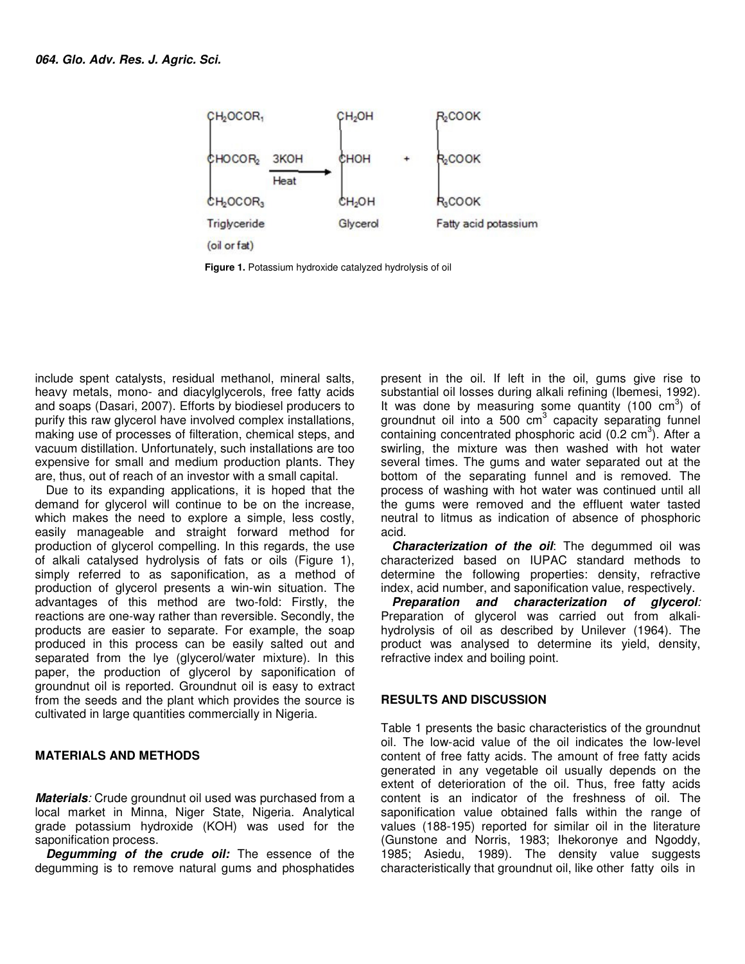

**Figure 1.** Potassium hydroxide catalyzed hydrolysis of oil

include spent catalysts, residual methanol, mineral salts, heavy metals, mono- and diacylglycerols, free fatty acids and soaps (Dasari, 2007). Efforts by biodiesel producers to purify this raw glycerol have involved complex installations, making use of processes of filteration, chemical steps, and vacuum distillation. Unfortunately, such installations are too expensive for small and medium production plants. They are, thus, out of reach of an investor with a small capital.

Due to its expanding applications, it is hoped that the demand for glycerol will continue to be on the increase, which makes the need to explore a simple, less costly, easily manageable and straight forward method for production of glycerol compelling. In this regards, the use of alkali catalysed hydrolysis of fats or oils (Figure 1), simply referred to as saponification, as a method of production of glycerol presents a win-win situation. The advantages of this method are two-fold: Firstly, the reactions are one-way rather than reversible. Secondly, the products are easier to separate. For example, the soap produced in this process can be easily salted out and separated from the lye (glycerol/water mixture). In this paper, the production of glycerol by saponification of groundnut oil is reported. Groundnut oil is easy to extract from the seeds and the plant which provides the source is cultivated in large quantities commercially in Nigeria.

#### **MATERIALS AND METHODS**

*Materials:* Crude groundnut oil used was purchased from a local market in Minna, Niger State, Nigeria. Analytical grade potassium hydroxide (KOH) was used for the saponification process.

*Degumming of the crude oil:* The essence of the degumming is to remove natural gums and phosphatides present in the oil. If left in the oil, gums give rise to substantial oil losses during alkali refining (Ibemesi, 1992). It was done by measuring some quantity (100  $\text{cm}^3$ ) of groundnut oil into a 500 cm<sup>3</sup> capacity separating funnel containing concentrated phosphoric acid  $(0.2 \text{ cm}^3)$ . After a swirling, the mixture was then washed with hot water several times. The gums and water separated out at the bottom of the separating funnel and is removed. The process of washing with hot water was continued until all the gums were removed and the effluent water tasted neutral to litmus as indication of absence of phosphoric acid.

*Characterization of the oil*: The degummed oil was characterized based on IUPAC standard methods to determine the following properties: density, refractive index, acid number, and saponification value, respectively.

*Preparation and characterization of glycerol:* Preparation of glycerol was carried out from alkalihydrolysis of oil as described by Unilever (1964). The product was analysed to determine its yield, density, refractive index and boiling point.

#### **RESULTS AND DISCUSSION**

Table 1 presents the basic characteristics of the groundnut oil. The low-acid value of the oil indicates the low-level content of free fatty acids. The amount of free fatty acids generated in any vegetable oil usually depends on the extent of deterioration of the oil. Thus, free fatty acids content is an indicator of the freshness of oil. The saponification value obtained falls within the range of values (188-195) reported for similar oil in the literature (Gunstone and Norris, 1983; Ihekoronye and Ngoddy, 1985; Asiedu, 1989). The density value suggests characteristically that groundnut oil, like other fatty oils in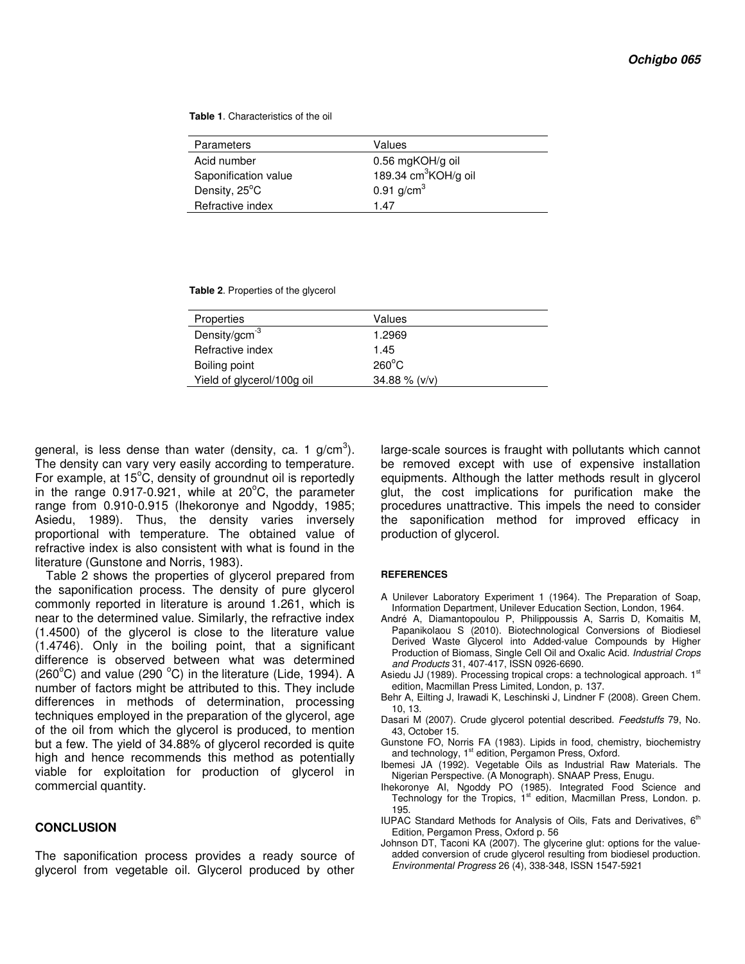**Table 1**. Characteristics of the oil

| <b>Parameters</b>    | Values                           |
|----------------------|----------------------------------|
| Acid number          | 0.56 mgKOH/g oil                 |
| Saponification value | 189.34 cm <sup>3</sup> KOH/g oil |
| Density, 25°C        | 0.91 $g/cm^{3}$                  |
| Refractive index     | 1.47                             |

 **Table 2**. Properties of the glycerol

| Properties                 | Values          |  |
|----------------------------|-----------------|--|
| Density/gcm $3$            | 1.2969          |  |
| Refractive index           | 1.45            |  |
| Boiling point              | $260^{\circ}$ C |  |
| Yield of glycerol/100g oil | $34.88\%$ (v/v) |  |
|                            |                 |  |

general, is less dense than water (density, ca. 1 g/cm $^3$ ). The density can vary very easily according to temperature. For example, at  $15^{\circ}$ C, density of groundnut oil is reportedly in the range  $0.917-0.921$ , while at  $20^{\circ}$ C, the parameter range from 0.910-0.915 (Ihekoronye and Ngoddy, 1985; Asiedu, 1989). Thus, the density varies inversely proportional with temperature. The obtained value of refractive index is also consistent with what is found in the literature (Gunstone and Norris, 1983).

Table 2 shows the properties of glycerol prepared from the saponification process. The density of pure glycerol commonly reported in literature is around 1.261, which is near to the determined value. Similarly, the refractive index (1.4500) of the glycerol is close to the literature value (1.4746). Only in the boiling point, that a significant difference is observed between what was determined (260 $^{\circ}$ C) and value (290 $^{\circ}$ C) in the literature (Lide, 1994). A number of factors might be attributed to this. They include differences in methods of determination, processing techniques employed in the preparation of the glycerol, age of the oil from which the glycerol is produced, to mention but a few. The yield of 34.88% of glycerol recorded is quite high and hence recommends this method as potentially viable for exploitation for production of glycerol in commercial quantity.

#### **CONCLUSION**

The saponification process provides a ready source of glycerol from vegetable oil. Glycerol produced by other

large-scale sources is fraught with pollutants which cannot be removed except with use of expensive installation equipments. Although the latter methods result in glycerol glut, the cost implications for purification make the procedures unattractive. This impels the need to consider the saponification method for improved efficacy in production of glycerol.

#### **REFERENCES**

- A Unilever Laboratory Experiment 1 (1964). The Preparation of Soap, Information Department, Unilever Education Section, London, 1964.
- André A, Diamantopoulou P, Philippoussis A, Sarris D, Komaitis M, Papanikolaou S (2010). Biotechnological Conversions of Biodiesel Derived Waste Glycerol into Added-value Compounds by Higher Production of Biomass, Single Cell Oil and Oxalic Acid. *Industrial Crops and Products* 31, 407-417, ISSN 0926-6690.
- Asiedu JJ (1989). Processing tropical crops: a technological approach. 1st edition, Macmillan Press Limited, London, p. 137.
- Behr A, Eilting J, Irawadi K, Leschinski J, Lindner F (2008). Green Chem. 10, 13.
- Dasari M (2007). Crude glycerol potential described. *Feedstuffs* 79, No. 43, October 15.
- Gunstone FO, Norris FA (1983). Lipids in food, chemistry, biochemistry and technology,  $1<sup>st</sup>$  edition, Pergamon Press, Oxford.
- Ibemesi JA (1992). Vegetable Oils as Industrial Raw Materials. The Nigerian Perspective. (A Monograph). SNAAP Press, Enugu.
- Ihekoronye AI, Ngoddy PO (1985). Integrated Food Science and Technology for the Tropics,  $1<sup>st</sup>$  edition, Macmillan Press, London. p. 195.
- IUPAC Standard Methods for Analysis of Oils, Fats and Derivatives,  $6<sup>th</sup>$ Edition, Pergamon Press, Oxford p. 56
- Johnson DT, Taconi KA (2007). The glycerine glut: options for the valueadded conversion of crude glycerol resulting from biodiesel production. *Environmental Progress* 26 (4), 338-348, ISSN 1547-5921